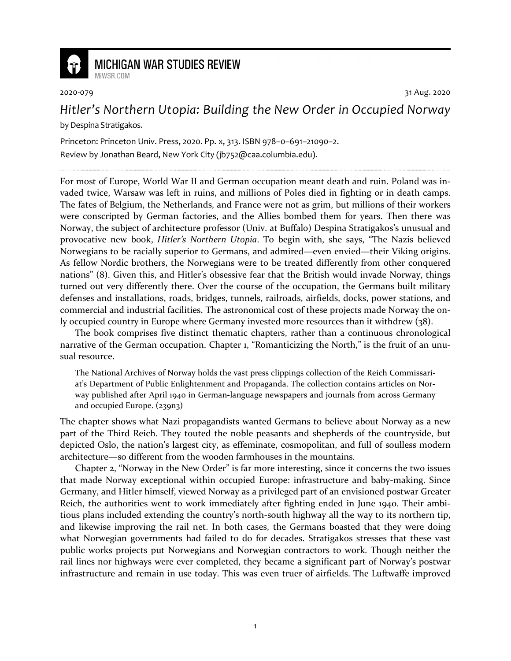

## **MICHIGAN WAR STUDIES REVIEW** MiWSR.COM

2020-079 31 Aug. 2020

## *Hitler's Northern Utopia: Building the New Order in Occupied Norway*

by Despina Stratigakos.

Princeton: Princeton Univ. Press, 2020. Pp. x, 313. ISBN 978–0–691–21090–2. Review by Jonathan Beard, New York City (jb752@caa.columbia.edu).

For most of Europe, World War II and German occupation meant death and ruin. Poland was invaded twice, Warsaw was left in ruins, and millions of Poles died in fighting or in death camps. The fates of Belgium, the Netherlands, and France were not as grim, but millions of their workers were conscripted by German factories, and the Allies bombed them for years. Then there was Norway, the subject of architecture professor (Univ. at Buffalo) Despina Stratigakos's unusual and provocative new book, *Hitler's Northern Utopia*. To begin with, she says, "The Nazis believed Norwegians to be racially superior to Germans, and admired—even envied—their Viking origins. As fellow Nordic brothers, the Norwegians were to be treated differently from other conquered nations" (8). Given this, and Hitler's obsessive fear that the British would invade Norway, things turned out very differently there. Over the course of the occupation, the Germans built military defenses and installations, roads, bridges, tunnels, railroads, airfields, docks, power stations, and commercial and industrial facilities. The astronomical cost of these projects made Norway the only occupied country in Europe where Germany invested more resources than it withdrew (38).

The book comprises five distinct thematic chapters, rather than a continuous chronological narrative of the German occupation. Chapter 1, "Romanticizing the North," is the fruit of an unusual resource.

The National Archives of Norway holds the vast press clippings collection of the Reich Commissariat's Department of Public Enlightenment and Propaganda. The collection contains articles on Norway published after April 1940 in German-language newspapers and journals from across Germany and occupied Europe. (239n3)

The chapter shows what Nazi propagandists wanted Germans to believe about Norway as a new part of the Third Reich. They touted the noble peasants and shepherds of the countryside, but depicted Oslo, the nation's largest city, as effeminate, cosmopolitan, and full of soulless modern architecture—so different from the wooden farmhouses in the mountains.

Chapter 2, "Norway in the New Order" is far more interesting, since it concerns the two issues that made Norway exceptional within occupied Europe: infrastructure and baby-making. Since Germany, and Hitler himself, viewed Norway as a privileged part of an envisioned postwar Greater Reich, the authorities went to work immediately after fighting ended in June 1940. Their ambitious plans included extending the country's north-south highway all the way to its northern tip, and likewise improving the rail net. In both cases, the Germans boasted that they were doing what Norwegian governments had failed to do for decades. Stratigakos stresses that these vast public works projects put Norwegians and Norwegian contractors to work. Though neither the rail lines nor highways were ever completed, they became a significant part of Norway's postwar infrastructure and remain in use today. This was even truer of airfields. The Luftwaffe improved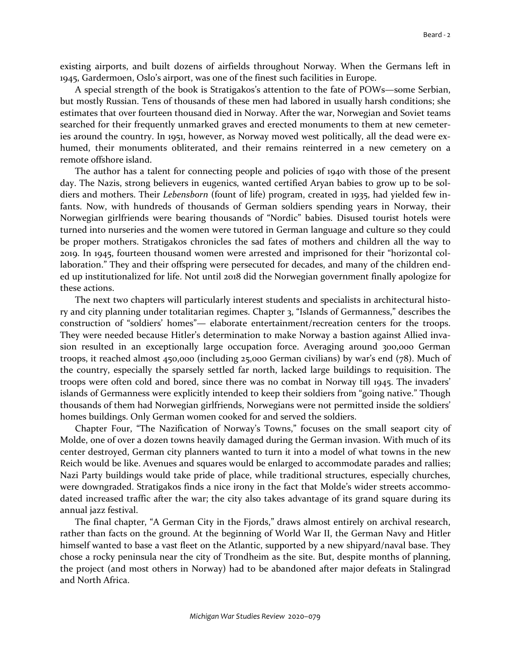existing airports, and built dozens of airfields throughout Norway. When the Germans left in 1945, Gardermoen, Oslo's airport, was one of the finest such facilities in Europe.

A special strength of the book is Stratigakos's attention to the fate of POWs—some Serbian, but mostly Russian. Tens of thousands of these men had labored in usually harsh conditions; she estimates that over fourteen thousand died in Norway. After the war, Norwegian and Soviet teams searched for their frequently unmarked graves and erected monuments to them at new cemeteries around the country. In 1951, however, as Norway moved west politically, all the dead were exhumed, their monuments obliterated, and their remains reinterred in a new cemetery on a remote offshore island.

The author has a talent for connecting people and policies of 1940 with those of the present day. The Nazis, strong believers in eugenics, wanted certified Aryan babies to grow up to be soldiers and mothers. Their *Lebensborn* (fount of life) program, created in 1935, had yielded few infants. Now, with hundreds of thousands of German soldiers spending years in Norway, their Norwegian girlfriends were bearing thousands of "Nordic" babies. Disused tourist hotels were turned into nurseries and the women were tutored in German language and culture so they could be proper mothers. Stratigakos chronicles the sad fates of mothers and children all the way to 2019. In 1945, fourteen thousand women were arrested and imprisoned for their "horizontal collaboration." They and their offspring were persecuted for decades, and many of the children ended up institutionalized for life. Not until 2018 did the Norwegian government finally apologize for these actions.

The next two chapters will particularly interest students and specialists in architectural history and city planning under totalitarian regimes. Chapter 3, "Islands of Germanness," describes the construction of "soldiers' homes"— elaborate entertainment/recreation centers for the troops. They were needed because Hitler's determination to make Norway a bastion against Allied invasion resulted in an exceptionally large occupation force. Averaging around 300,000 German troops, it reached almost 450,000 (including 25,000 German civilians) by war's end (78). Much of the country, especially the sparsely settled far north, lacked large buildings to requisition. The troops were often cold and bored, since there was no combat in Norway till 1945. The invaders' islands of Germanness were explicitly intended to keep their soldiers from "going native." Though thousands of them had Norwegian girlfriends, Norwegians were not permitted inside the soldiers' homes buildings. Only German women cooked for and served the soldiers.

Chapter Four, "The Nazification of Norway's Towns," focuses on the small seaport city of Molde, one of over a dozen towns heavily damaged during the German invasion. With much of its center destroyed, German city planners wanted to turn it into a model of what towns in the new Reich would be like. Avenues and squares would be enlarged to accommodate parades and rallies; Nazi Party buildings would take pride of place, while traditional structures, especially churches, were downgraded. Stratigakos finds a nice irony in the fact that Molde's wider streets accommodated increased traffic after the war; the city also takes advantage of its grand square during its annual jazz festival.

The final chapter, "A German City in the Fjords," draws almost entirely on archival research, rather than facts on the ground. At the beginning of World War II, the German Navy and Hitler himself wanted to base a vast fleet on the Atlantic, supported by a new shipyard/naval base. They chose a rocky peninsula near the city of Trondheim as the site. But, despite months of planning, the project (and most others in Norway) had to be abandoned after major defeats in Stalingrad and North Africa.